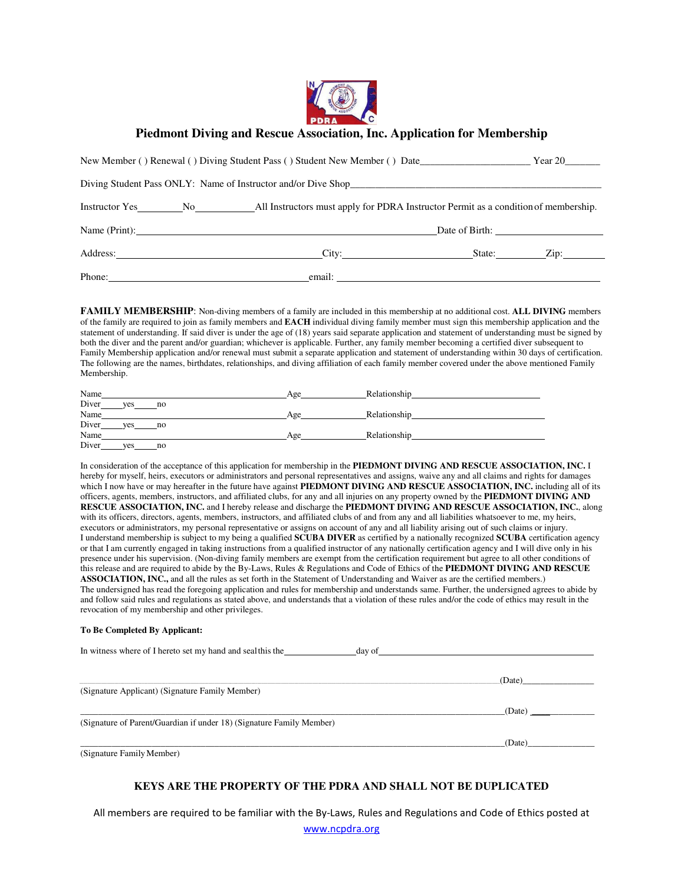

# **Piedmont Diving and Rescue Association, Inc. Application for Membership**

|        | New Member () Renewal () Diving Student Pass () Student New Member () Date__________________________                                                                                                                                 | Year 20 |
|--------|--------------------------------------------------------------------------------------------------------------------------------------------------------------------------------------------------------------------------------------|---------|
|        |                                                                                                                                                                                                                                      |         |
|        |                                                                                                                                                                                                                                      |         |
|        | Name (Print):                                                                                                                                                                                                                        |         |
|        | Address: Zip: City: State: Zip:                                                                                                                                                                                                      |         |
| Phone: | email: <u>the contract of the contract of the contract of the contract of the contract of the contract of the contract of the contract of the contract of the contract of the contract of the contract of the contract of the co</u> |         |

**FAMILY MEMBERSHIP**: Non-diving members of a family are included in this membership at no additional cost. **ALL DIVING** members of the family are required to join as family members and **EACH** individual diving family member must sign this membership application and the statement of understanding. If said diver is under the age of (18) years said separate application and statement of understanding must be signed by both the diver and the parent and/or guardian; whichever is applicable. Further, any family member becoming a certified diver subsequent to Family Membership application and/or renewal must submit a separate application and statement of understanding within 30 days of certification. The following are the names, birthdates, relationships, and diving affiliation of each family member covered under the above mentioned Family Membership.

| Name               | Age | Relationship |
|--------------------|-----|--------------|
| Diver<br>ves<br>no |     |              |
| Name               | Age | Relationship |
| Diver<br>ves<br>no |     |              |
| Name               | Age | Relationship |
| Diver<br>ves<br>no |     |              |

In consideration of the acceptance of this application for membership in the **PIEDMONT DIVING AND RESCUE ASSOCIATION, INC.** I hereby for myself, heirs, executors or administrators and personal representatives and assigns, waive any and all claims and rights for damages which I now have or may hereafter in the future have against **PIEDMONT DIVING AND RESCUE ASSOCIATION, INC.** including all of its officers, agents, members, instructors, and affiliated clubs, for any and all injuries on any property owned by the **PIEDMONT DIVING AND RESCUE ASSOCIATION, INC.** and I hereby release and discharge the **PIEDMONT DIVING AND RESCUE ASSOCIATION, INC.**, along with its officers, directors, agents, members, instructors, and affiliated clubs of and from any and all liabilities whatsoever to me, my heirs, executors or administrators, my personal representative or assigns on account of any and all liability arising out of such claims or injury. I understand membership is subject to my being a qualified **SCUBA DIVER** as certified by a nationally recognized **SCUBA** certification agency or that I am currently engaged in taking instructions from a qualified instructor of any nationally certification agency and I will dive only in his presence under his supervision. (Non-diving family members are exempt from the certification requirement but agree to all other conditions of this release and are required to abide by the By-Laws, Rules & Regulations and Code of Ethics of the **PIEDMONT DIVING AND RESCUE ASSOCIATION, INC.,** and all the rules as set forth in the Statement of Understanding and Waiver as are the certified members.) The undersigned has read the foregoing application and rules for membership and understands same. Further, the undersigned agrees to abide by and follow said rules and regulations as stated above, and understands that a violation of these rules and/or the code of ethics may result in the revocation of my membership and other privileges.

### **To Be Completed By Applicant:**

| In witness where of I hereto set my hand and seal this the | day of |  |
|------------------------------------------------------------|--------|--|
|                                                            |        |  |

|                                                                      | (Date) |
|----------------------------------------------------------------------|--------|
| (Signature Applicant) (Signature Family Member)                      |        |
|                                                                      | (Date) |
| (Signature of Parent/Guardian if under 18) (Signature Family Member) |        |
|                                                                      | (Date) |
| (Signature Family Member)                                            |        |

# **KEYS ARE THE PROPERTY OF THE PDRA AND SHALL NOT BE DUPLICATED**

All members are required to be familiar with the By‐Laws, Rules and Regulations and Code of Ethics posted at